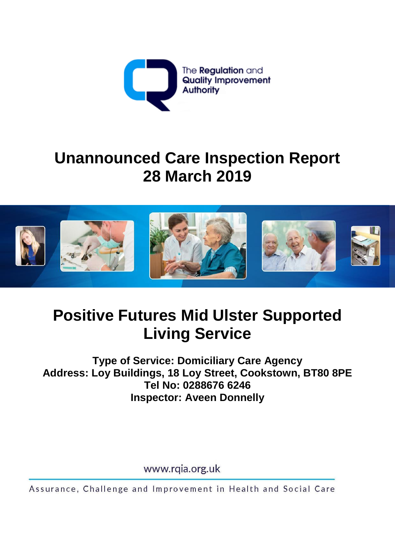

# **Unannounced Care Inspection Report 28 March 2019**



# **Positive Futures Mid Ulster Supported Living Service**

**Type of Service: Domiciliary Care Agency Address: Loy Buildings, 18 Loy Street, Cookstown, BT80 8PE Tel No: 0288676 6246 Inspector: Aveen Donnelly**

www.rqia.org.uk

Assurance, Challenge and Improvement in Health and Social Care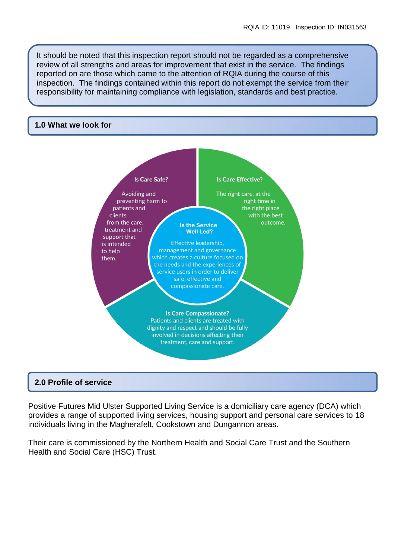It should be noted that this inspection report should not be regarded as a comprehensive review of all strengths and areas for improvement that exist in the service. The findings reported on are those which came to the attention of RQIA during the course of this inspection. The findings contained within this report do not exempt the service from their responsibility for maintaining compliance with legislation, standards and best practice.

#### **1.0 What we look for**



## **2.0 Profile of service**

Positive Futures Mid Ulster Supported Living Service is a domiciliary care agency (DCA) which provides a range of supported living services, housing support and personal care services to 18 individuals living in the Magherafelt, Cookstown and Dungannon areas.

Their care is commissioned by the Northern Health and Social Care Trust and the Southern Health and Social Care (HSC) Trust.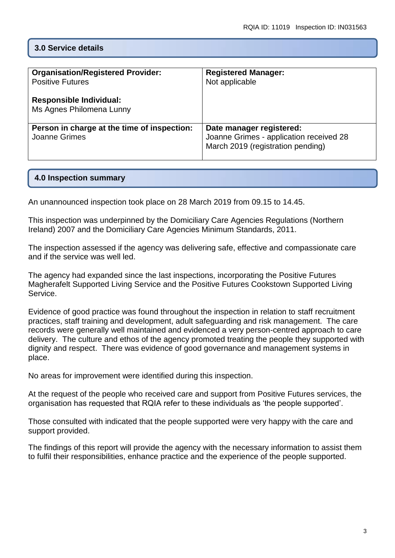# **3.0 Service details**

| <b>Organisation/Registered Provider:</b><br><b>Positive Futures</b><br><b>Responsible Individual:</b><br>Ms Agnes Philomena Lunny | <b>Registered Manager:</b><br>Not applicable                                                             |
|-----------------------------------------------------------------------------------------------------------------------------------|----------------------------------------------------------------------------------------------------------|
| Person in charge at the time of inspection:<br>Joanne Grimes                                                                      | Date manager registered:<br>Joanne Grimes - application received 28<br>March 2019 (registration pending) |

## **4.0 Inspection summary**

An unannounced inspection took place on 28 March 2019 from 09.15 to 14.45.

This inspection was underpinned by the Domiciliary Care Agencies Regulations (Northern Ireland) 2007 and the Domiciliary Care Agencies Minimum Standards, 2011.

The inspection assessed if the agency was delivering safe, effective and compassionate care and if the service was well led.

The agency had expanded since the last inspections, incorporating the Positive Futures Magherafelt Supported Living Service and the Positive Futures Cookstown Supported Living Service.

Evidence of good practice was found throughout the inspection in relation to staff recruitment practices, staff training and development, adult safeguarding and risk management. The care records were generally well maintained and evidenced a very person-centred approach to care delivery. The culture and ethos of the agency promoted treating the people they supported with dignity and respect. There was evidence of good governance and management systems in place.

No areas for improvement were identified during this inspection.

At the request of the people who received care and support from Positive Futures services, the organisation has requested that RQIA refer to these individuals as 'the people supported'.

Those consulted with indicated that the people supported were very happy with the care and support provided.

The findings of this report will provide the agency with the necessary information to assist them to fulfil their responsibilities, enhance practice and the experience of the people supported.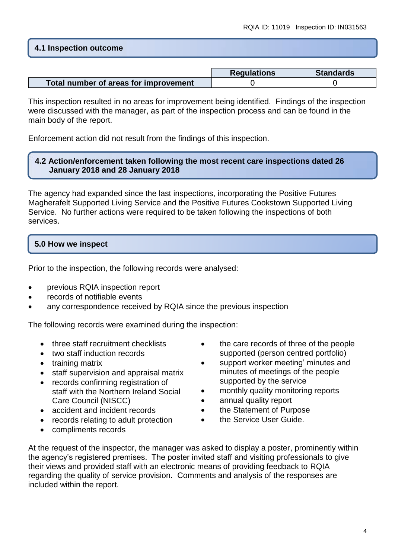# **4.1 Inspection outcome**

|                                       | <b>Regulations</b> | <b>Standards</b> |
|---------------------------------------|--------------------|------------------|
| Total number of areas for improvement |                    |                  |

This inspection resulted in no areas for improvement being identified. Findings of the inspection were discussed with the manager, as part of the inspection process and can be found in the main body of the report.

Enforcement action did not result from the findings of this inspection.

## **4.2 Action/enforcement taken following the most recent care inspections dated 26 January 2018 and 28 January 2018**

The agency had expanded since the last inspections, incorporating the Positive Futures Magherafelt Supported Living Service and the Positive Futures Cookstown Supported Living Service. No further actions were required to be taken following the inspections of both services.

# **5.0 How we inspect**

Prior to the inspection, the following records were analysed:

- previous RQIA inspection report
- records of notifiable events
- any correspondence received by RQIA since the previous inspection

The following records were examined during the inspection:

- three staff recruitment checklists
- two staff induction records
- $\bullet$  training matrix
- staff supervision and appraisal matrix
- records confirming registration of staff with the Northern Ireland Social Care Council (NISCC)
- accident and incident records
- records relating to adult protection
- compliments records
- the care records of three of the people supported (person centred portfolio)
- support worker meeting' minutes and minutes of meetings of the people supported by the service
- monthly quality monitoring reports
- annual quality report
- the Statement of Purpose
- the Service User Guide.

At the request of the inspector, the manager was asked to display a poster, prominently within the agency's registered premises. The poster invited staff and visiting professionals to give their views and provided staff with an electronic means of providing feedback to RQIA regarding the quality of service provision. Comments and analysis of the responses are included within the report.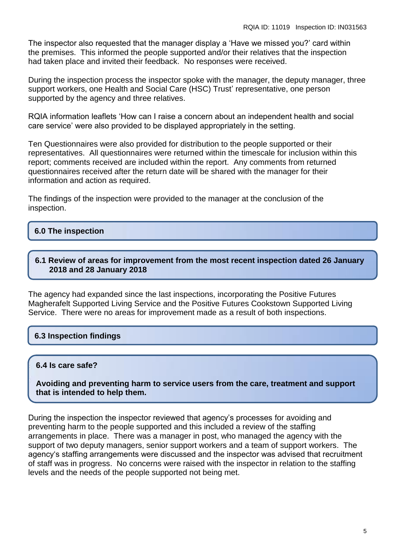The inspector also requested that the manager display a 'Have we missed you?' card within the premises. This informed the people supported and/or their relatives that the inspection had taken place and invited their feedback. No responses were received.

During the inspection process the inspector spoke with the manager, the deputy manager, three support workers, one Health and Social Care (HSC) Trust' representative, one person supported by the agency and three relatives.

RQIA information leaflets 'How can I raise a concern about an independent health and social care service' were also provided to be displayed appropriately in the setting.

Ten Questionnaires were also provided for distribution to the people supported or their representatives. All questionnaires were returned within the timescale for inclusion within this report; comments received are included within the report. Any comments from returned questionnaires received after the return date will be shared with the manager for their information and action as required.

The findings of the inspection were provided to the manager at the conclusion of the inspection.

## **6.0 The inspection**

#### **6.1 Review of areas for improvement from the most recent inspection dated 26 January 2018 and 28 January 2018**

The agency had expanded since the last inspections, incorporating the Positive Futures Magherafelt Supported Living Service and the Positive Futures Cookstown Supported Living Service. There were no areas for improvement made as a result of both inspections.

## **6.3 Inspection findings**

## **6.4 Is care safe?**

**Avoiding and preventing harm to service users from the care, treatment and support that is intended to help them.**

During the inspection the inspector reviewed that agency's processes for avoiding and preventing harm to the people supported and this included a review of the staffing arrangements in place. There was a manager in post, who managed the agency with the support of two deputy managers, senior support workers and a team of support workers. The agency's staffing arrangements were discussed and the inspector was advised that recruitment of staff was in progress. No concerns were raised with the inspector in relation to the staffing levels and the needs of the people supported not being met.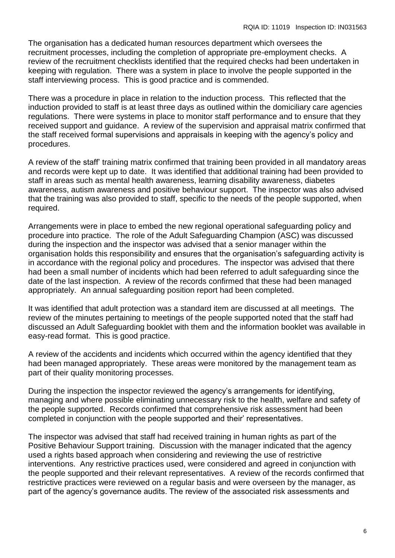The organisation has a dedicated human resources department which oversees the recruitment processes, including the completion of appropriate pre-employment checks. A review of the recruitment checklists identified that the required checks had been undertaken in keeping with regulation. There was a system in place to involve the people supported in the staff interviewing process. This is good practice and is commended.

There was a procedure in place in relation to the induction process. This reflected that the induction provided to staff is at least three days as outlined within the domiciliary care agencies regulations. There were systems in place to monitor staff performance and to ensure that they received support and guidance. A review of the supervision and appraisal matrix confirmed that the staff received formal supervisions and appraisals in keeping with the agency's policy and procedures.

A review of the staff' training matrix confirmed that training been provided in all mandatory areas and records were kept up to date. It was identified that additional training had been provided to staff in areas such as mental health awareness, learning disability awareness, diabetes awareness, autism awareness and positive behaviour support. The inspector was also advised that the training was also provided to staff, specific to the needs of the people supported, when required.

Arrangements were in place to embed the new regional operational safeguarding policy and procedure into practice. The role of the Adult Safeguarding Champion (ASC) was discussed during the inspection and the inspector was advised that a senior manager within the organisation holds this responsibility and ensures that the organisation's safeguarding activity is in accordance with the regional policy and procedures. The inspector was advised that there had been a small number of incidents which had been referred to adult safeguarding since the date of the last inspection. A review of the records confirmed that these had been managed appropriately. An annual safeguarding position report had been completed.

It was identified that adult protection was a standard item are discussed at all meetings. The review of the minutes pertaining to meetings of the people supported noted that the staff had discussed an Adult Safeguarding booklet with them and the information booklet was available in easy-read format. This is good practice.

A review of the accidents and incidents which occurred within the agency identified that they had been managed appropriately. These areas were monitored by the management team as part of their quality monitoring processes.

During the inspection the inspector reviewed the agency's arrangements for identifying, managing and where possible eliminating unnecessary risk to the health, welfare and safety of the people supported. Records confirmed that comprehensive risk assessment had been completed in conjunction with the people supported and their' representatives.

The inspector was advised that staff had received training in human rights as part of the Positive Behaviour Support training. Discussion with the manager indicated that the agency used a rights based approach when considering and reviewing the use of restrictive interventions. Any restrictive practices used, were considered and agreed in conjunction with the people supported and their relevant representatives. A review of the records confirmed that restrictive practices were reviewed on a regular basis and were overseen by the manager, as part of the agency's governance audits. The review of the associated risk assessments and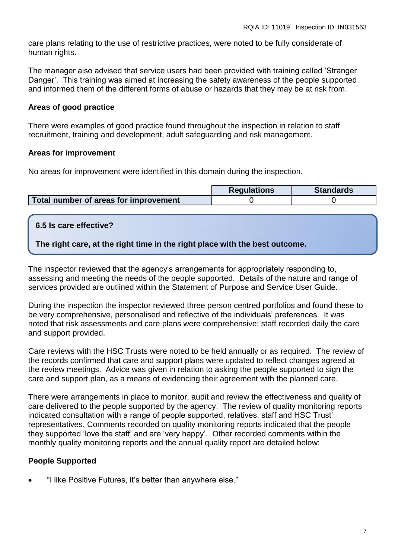care plans relating to the use of restrictive practices, were noted to be fully considerate of human rights.

The manager also advised that service users had been provided with training called 'Stranger Danger'. This training was aimed at increasing the safety awareness of the people supported and informed them of the different forms of abuse or hazards that they may be at risk from.

# **Areas of good practice**

There were examples of good practice found throughout the inspection in relation to staff recruitment, training and development, adult safeguarding and risk management.

## **Areas for improvement**

No areas for improvement were identified in this domain during the inspection.

|                                       | <b>Requlations</b> | <b>Standards</b> |
|---------------------------------------|--------------------|------------------|
| Total number of areas for improvement |                    |                  |

# **6.5 Is care effective?**

**The right care, at the right time in the right place with the best outcome.**

The inspector reviewed that the agency's arrangements for appropriately responding to, assessing and meeting the needs of the people supported. Details of the nature and range of services provided are outlined within the Statement of Purpose and Service User Guide.

During the inspection the inspector reviewed three person centred portfolios and found these to be very comprehensive, personalised and reflective of the individuals' preferences. It was noted that risk assessments and care plans were comprehensive; staff recorded daily the care and support provided.

Care reviews with the HSC Trusts were noted to be held annually or as required. The review of the records confirmed that care and support plans were updated to reflect changes agreed at the review meetings. Advice was given in relation to asking the people supported to sign the care and support plan, as a means of evidencing their agreement with the planned care.

There were arrangements in place to monitor, audit and review the effectiveness and quality of care delivered to the people supported by the agency. The review of quality monitoring reports indicated consultation with a range of people supported, relatives, staff and HSC Trust' representatives. Comments recorded on quality monitoring reports indicated that the people they supported 'love the staff' and are 'very happy'. Other recorded comments within the monthly quality monitoring reports and the annual quality report are detailed below:

# **People Supported**

"I like Positive Futures, it's better than anywhere else."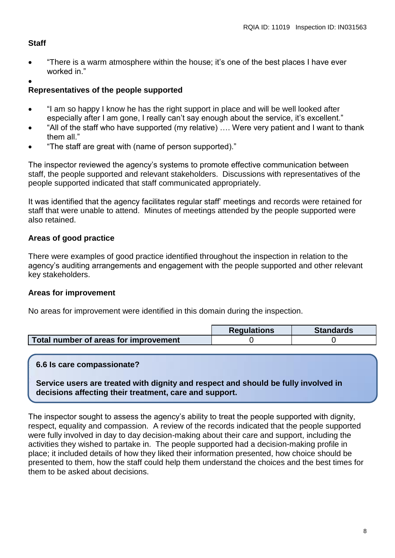# **Staff**

- "There is a warm atmosphere within the house; it's one of the best places I have ever worked in."
- $\bullet$

# **Representatives of the people supported**

- "I am so happy I know he has the right support in place and will be well looked after especially after I am gone, I really can't say enough about the service, it's excellent."
- "All of the staff who have supported (my relative) …. Were very patient and I want to thank them all."
- "The staff are great with (name of person supported)."

The inspector reviewed the agency's systems to promote effective communication between staff, the people supported and relevant stakeholders. Discussions with representatives of the people supported indicated that staff communicated appropriately.

It was identified that the agency facilitates regular staff' meetings and records were retained for staff that were unable to attend. Minutes of meetings attended by the people supported were also retained.

# **Areas of good practice**

There were examples of good practice identified throughout the inspection in relation to the agency's auditing arrangements and engagement with the people supported and other relevant key stakeholders.

## **Areas for improvement**

No areas for improvement were identified in this domain during the inspection.

|                                       | <b>Requlations</b> | <b>Standards</b> |
|---------------------------------------|--------------------|------------------|
| Total number of areas for improvement |                    |                  |

## **6.6 Is care compassionate?**

**Service users are treated with dignity and respect and should be fully involved in decisions affecting their treatment, care and support.**

The inspector sought to assess the agency's ability to treat the people supported with dignity, respect, equality and compassion. A review of the records indicated that the people supported were fully involved in day to day decision-making about their care and support, including the activities they wished to partake in. The people supported had a decision-making profile in place; it included details of how they liked their information presented, how choice should be presented to them, how the staff could help them understand the choices and the best times for them to be asked about decisions.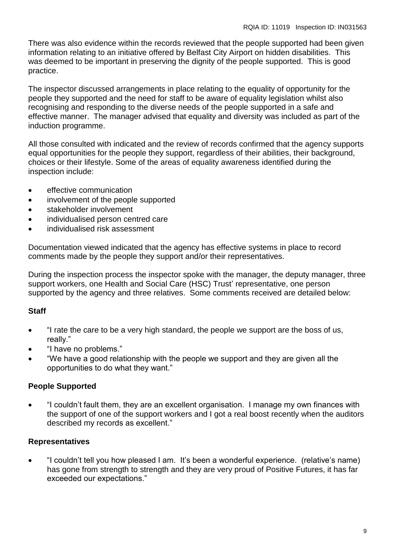There was also evidence within the records reviewed that the people supported had been given information relating to an initiative offered by Belfast City Airport on hidden disabilities. This was deemed to be important in preserving the dignity of the people supported. This is good practice.

The inspector discussed arrangements in place relating to the equality of opportunity for the people they supported and the need for staff to be aware of equality legislation whilst also recognising and responding to the diverse needs of the people supported in a safe and effective manner. The manager advised that equality and diversity was included as part of the induction programme.

All those consulted with indicated and the review of records confirmed that the agency supports equal opportunities for the people they support, regardless of their abilities, their background, choices or their lifestyle. Some of the areas of equality awareness identified during the inspection include:

- effective communication
- involvement of the people supported
- stakeholder involvement
- individualised person centred care
- individualised risk assessment

Documentation viewed indicated that the agency has effective systems in place to record comments made by the people they support and/or their representatives.

During the inspection process the inspector spoke with the manager, the deputy manager, three support workers, one Health and Social Care (HSC) Trust' representative, one person supported by the agency and three relatives. Some comments received are detailed below:

# **Staff**

- "I rate the care to be a very high standard, the people we support are the boss of us, really."
- "I have no problems."
- "We have a good relationship with the people we support and they are given all the opportunities to do what they want."

# **People Supported**

 "I couldn't fault them, they are an excellent organisation. I manage my own finances with the support of one of the support workers and I got a real boost recently when the auditors described my records as excellent."

## **Representatives**

 "I couldn't tell you how pleased I am. It's been a wonderful experience. (relative's name) has gone from strength to strength and they are very proud of Positive Futures, it has far exceeded our expectations."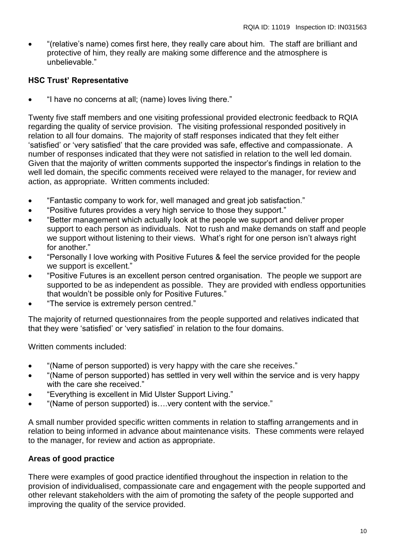"(relative's name) comes first here, they really care about him. The staff are brilliant and protective of him, they really are making some difference and the atmosphere is unbelievable."

## **HSC Trust' Representative**

"I have no concerns at all; (name) loves living there."

Twenty five staff members and one visiting professional provided electronic feedback to RQIA regarding the quality of service provision. The visiting professional responded positively in relation to all four domains. The majority of staff responses indicated that they felt either 'satisfied' or 'very satisfied' that the care provided was safe, effective and compassionate. A number of responses indicated that they were not satisfied in relation to the well led domain. Given that the majority of written comments supported the inspector's findings in relation to the well led domain, the specific comments received were relayed to the manager, for review and action, as appropriate. Written comments included:

- "Fantastic company to work for, well managed and great job satisfaction."
- "Positive futures provides a very high service to those they support."
- "Better management which actually look at the people we support and deliver proper support to each person as individuals. Not to rush and make demands on staff and people we support without listening to their views. What's right for one person isn't always right for another."
- "Personally I love working with Positive Futures & feel the service provided for the people we support is excellent."
- "Positive Futures is an excellent person centred organisation. The people we support are supported to be as independent as possible. They are provided with endless opportunities that wouldn't be possible only for Positive Futures."
- "The service is extremely person centred."

The majority of returned questionnaires from the people supported and relatives indicated that that they were 'satisfied' or 'very satisfied' in relation to the four domains.

Written comments included:

- "(Name of person supported) is very happy with the care she receives."
- "(Name of person supported) has settled in very well within the service and is very happy with the care she received."
- "Everything is excellent in Mid Ulster Support Living."
- "(Name of person supported) is….very content with the service."

A small number provided specific written comments in relation to staffing arrangements and in relation to being informed in advance about maintenance visits. These comments were relayed to the manager, for review and action as appropriate.

# **Areas of good practice**

There were examples of good practice identified throughout the inspection in relation to the provision of individualised, compassionate care and engagement with the people supported and other relevant stakeholders with the aim of promoting the safety of the people supported and improving the quality of the service provided.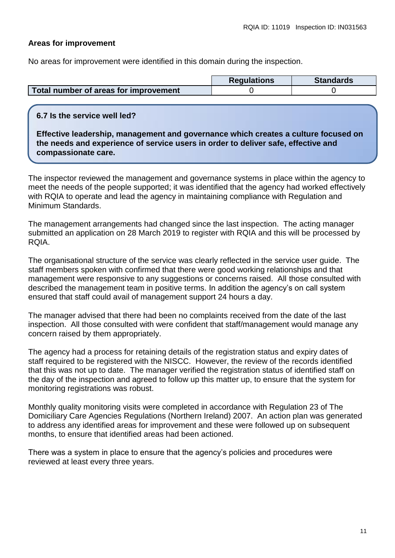#### **Areas for improvement**

No areas for improvement were identified in this domain during the inspection.

|                                       | <b>Regulations</b> | <b>Standards</b> |
|---------------------------------------|--------------------|------------------|
| Total number of areas for improvement |                    |                  |

#### **6.7 Is the service well led?**

**Effective leadership, management and governance which creates a culture focused on the needs and experience of service users in order to deliver safe, effective and compassionate care.**

The inspector reviewed the management and governance systems in place within the agency to meet the needs of the people supported; it was identified that the agency had worked effectively with RQIA to operate and lead the agency in maintaining compliance with Regulation and Minimum Standards.

The management arrangements had changed since the last inspection. The acting manager submitted an application on 28 March 2019 to register with RQIA and this will be processed by RQIA.

The organisational structure of the service was clearly reflected in the service user guide. The staff members spoken with confirmed that there were good working relationships and that management were responsive to any suggestions or concerns raised. All those consulted with described the management team in positive terms. In addition the agency's on call system ensured that staff could avail of management support 24 hours a day.

The manager advised that there had been no complaints received from the date of the last inspection. All those consulted with were confident that staff/management would manage any concern raised by them appropriately.

The agency had a process for retaining details of the registration status and expiry dates of staff required to be registered with the NISCC. However, the review of the records identified that this was not up to date. The manager verified the registration status of identified staff on the day of the inspection and agreed to follow up this matter up, to ensure that the system for monitoring registrations was robust.

Monthly quality monitoring visits were completed in accordance with Regulation 23 of The Domiciliary Care Agencies Regulations (Northern Ireland) 2007. An action plan was generated to address any identified areas for improvement and these were followed up on subsequent months, to ensure that identified areas had been actioned.

There was a system in place to ensure that the agency's policies and procedures were reviewed at least every three years.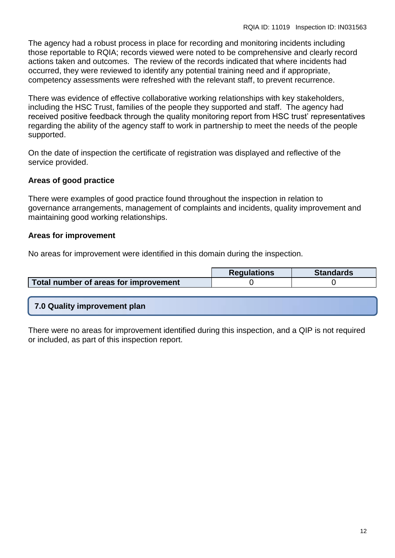The agency had a robust process in place for recording and monitoring incidents including those reportable to RQIA; records viewed were noted to be comprehensive and clearly record actions taken and outcomes. The review of the records indicated that where incidents had occurred, they were reviewed to identify any potential training need and if appropriate, competency assessments were refreshed with the relevant staff, to prevent recurrence.

There was evidence of effective collaborative working relationships with key stakeholders, including the HSC Trust, families of the people they supported and staff. The agency had received positive feedback through the quality monitoring report from HSC trust' representatives regarding the ability of the agency staff to work in partnership to meet the needs of the people supported.

On the date of inspection the certificate of registration was displayed and reflective of the service provided.

# **Areas of good practice**

There were examples of good practice found throughout the inspection in relation to governance arrangements, management of complaints and incidents, quality improvement and maintaining good working relationships.

## **Areas for improvement**

No areas for improvement were identified in this domain during the inspection.

|                                       | <b>Requlations</b> | <b>Standards</b> |
|---------------------------------------|--------------------|------------------|
| Total number of areas for improvement |                    |                  |

# **7.0 Quality improvement plan**

There were no areas for improvement identified during this inspection, and a QIP is not required or included, as part of this inspection report.